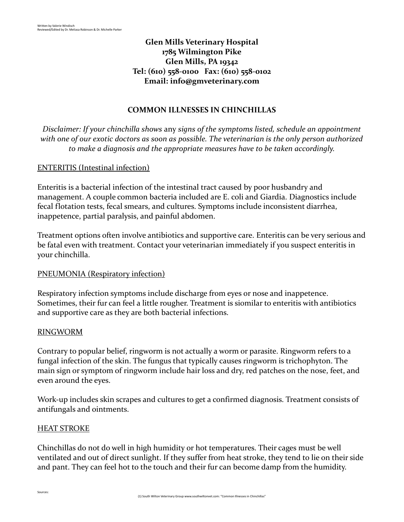# **Glen Mills Veterinary Hospital 1785 Wilmington Pike Glen Mills, PA 19342 Tel: (610) 558-0100 Fax: (610) 558-0102 Email: [info@gmveterinary.com](mailto:info@gmveterinary.com)**

## **COMMON ILLNESSES IN CHINCHILLAS**

*Disclaimer: If your chinchilla shows* any *signs of the symptoms listed, schedule an appointment with one of our exotic doctors as soon as possible. The veterinarian is the only person authorized to make a diagnosis and the appropriate measures have to be taken accordingly.*

## ENTERITIS (Intestinal infection)

Enteritis is a bacterial infection of the intestinal tract caused by poor husbandry and management. A couple common bacteria included are E. coli and Giardia. Diagnostics include fecal flotation tests, fecal smears, and cultures. Symptoms include inconsistent diarrhea, inappetence, partial paralysis, and painful abdomen.

Treatment options often involve antibiotics and supportive care. Enteritis can be very serious and be fatal even with treatment. Contact your veterinarian immediately if you suspect enteritis in your chinchilla.

## PNEUMONIA (Respiratory infection)

Respiratory infection symptoms include discharge from eyes or nose and inappetence. Sometimes, their fur can feel a little rougher. Treatment is siomilar to enteritis with antibiotics and supportive care as they are both bacterial infections.

## RINGWORM

Contrary to popular belief, ringworm is not actually a worm or parasite. Ringworm refers to a fungal infection of the skin. The fungus that typically causes ringworm is trichophyton. The main sign or symptom of ringworm include hair loss and dry, red patches on the nose, feet, and even around the eyes.

Work-up includes skin scrapes and cultures to get a confirmed diagnosis. Treatment consists of antifungals and ointments.

## HEAT STROKE

Chinchillas do not do well in high humidity or hot temperatures. Their cages must be well ventilated and out of direct sunlight. If they suffer from heat stroke, they tend to lie on their side and pant. They can feel hot to the touch and their fur can become damp from the humidity.